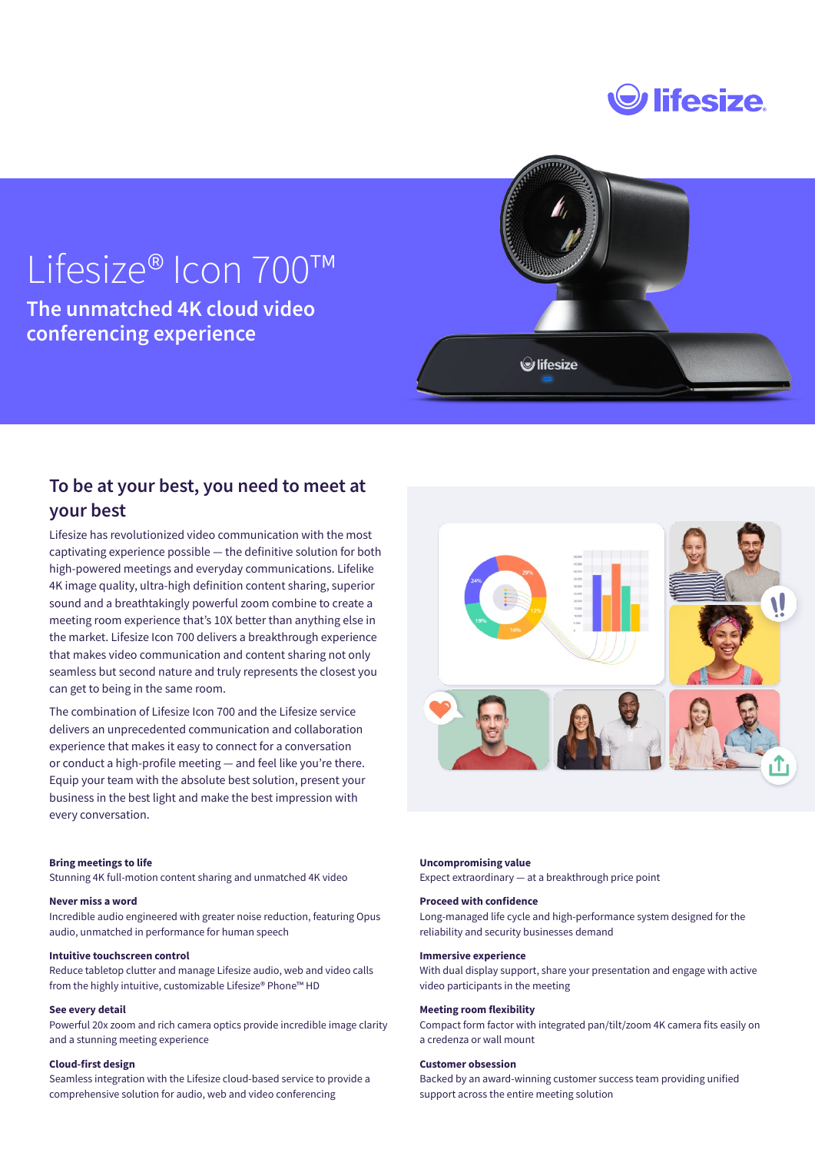

# Lifesize® Icon 700™

**The unmatched 4K cloud video conferencing experience**



## **To be at your best, you need to meet at your best**

Lifesize has revolutionized video communication with the most captivating experience possible — the definitive solution for both high-powered meetings and everyday communications. Lifelike 4K image quality, ultra-high definition content sharing, superior sound and a breathtakingly powerful zoom combine to create a meeting room experience that's 10X better than anything else in the market. Lifesize Icon 700 delivers a breakthrough experience that makes video communication and content sharing not only seamless but second nature and truly represents the closest you can get to being in the same room.

The combination of Lifesize Icon 700 and the Lifesize service delivers an unprecedented communication and collaboration experience that makes it easy to connect for a conversation or conduct a high-profile meeting — and feel like you're there. Equip your team with the absolute best solution, present your business in the best light and make the best impression with every conversation.

#### **Bring meetings to life**

Stunning 4K full-motion content sharing and unmatched 4K video

#### **Never miss a word**

Incredible audio engineered with greater noise reduction, featuring Opus audio, unmatched in performance for human speech

#### **Intuitive touchscreen control**

Reduce tabletop clutter and manage Lifesize audio, web and video calls from the highly intuitive, customizable Lifesize® Phone™ HD

#### **See every detail**

Powerful 20x zoom and rich camera optics provide incredible image clarity and a stunning meeting experience

#### **Cloud-first design**

Seamless integration with the Lifesize cloud-based service to provide a comprehensive solution for audio, web and video conferencing



#### **Uncompromising value**

Expect extraordinary — at a breakthrough price point

#### **Proceed with confidence**

Long-managed life cycle and high-performance system designed for the reliability and security businesses demand

#### **Immersive experience**

With dual display support, share your presentation and engage with active video participants in the meeting

#### **Meeting room flexibility**

Compact form factor with integrated pan/tilt/zoom 4K camera fits easily on a credenza or wall mount

#### **Customer obsession**

Backed by an award-winning customer success team providing unified support across the entire meeting solution